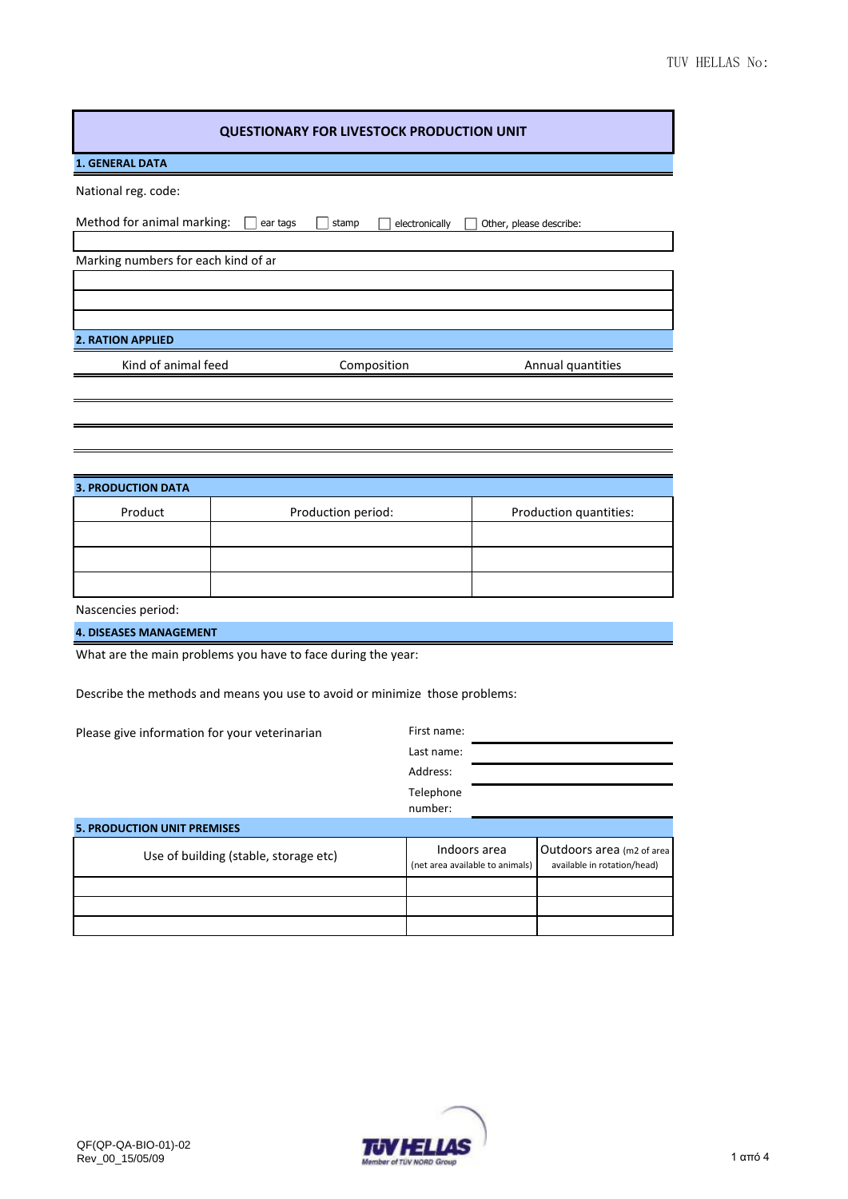| <b>QUESTIONARY FOR LIVESTOCK PRODUCTION UNIT</b>                            |          |                                                 |                      |                                                          |                        |
|-----------------------------------------------------------------------------|----------|-------------------------------------------------|----------------------|----------------------------------------------------------|------------------------|
| <b>1. GENERAL DATA</b>                                                      |          |                                                 |                      |                                                          |                        |
| National reg. code:                                                         |          |                                                 |                      |                                                          |                        |
| Method for animal marking:                                                  | ear tags | stamp                                           | electronically       | Other, please describe:                                  |                        |
| Marking numbers for each kind of ar                                         |          |                                                 |                      |                                                          |                        |
|                                                                             |          |                                                 |                      |                                                          |                        |
|                                                                             |          |                                                 |                      |                                                          |                        |
| <b>2. RATION APPLIED</b>                                                    |          |                                                 |                      |                                                          |                        |
| Kind of animal feed<br>Composition                                          |          |                                                 | Annual quantities    |                                                          |                        |
|                                                                             |          |                                                 |                      |                                                          |                        |
|                                                                             |          |                                                 |                      |                                                          |                        |
|                                                                             |          |                                                 |                      |                                                          |                        |
|                                                                             |          |                                                 |                      |                                                          |                        |
| <b>3. PRODUCTION DATA</b>                                                   |          |                                                 |                      |                                                          |                        |
| Product                                                                     |          | Production period:                              |                      |                                                          | Production quantities: |
|                                                                             |          |                                                 |                      |                                                          |                        |
|                                                                             |          |                                                 |                      |                                                          |                        |
| Nascencies period:                                                          |          |                                                 |                      |                                                          |                        |
| <b>4. DISEASES MANAGEMENT</b>                                               |          |                                                 |                      |                                                          |                        |
| What are the main problems you have to face during the year:                |          |                                                 |                      |                                                          |                        |
|                                                                             |          |                                                 |                      |                                                          |                        |
| Describe the methods and means you use to avoid or minimize those problems: |          |                                                 |                      |                                                          |                        |
| Please give information for your veterinarian                               |          |                                                 | First name:          |                                                          |                        |
|                                                                             |          |                                                 | Last name:           |                                                          |                        |
|                                                                             |          |                                                 | Address:             |                                                          |                        |
|                                                                             |          |                                                 | Telephone<br>number: |                                                          |                        |
| <b>5. PRODUCTION UNIT PREMISES</b>                                          |          |                                                 |                      |                                                          |                        |
| Use of building (stable, storage etc)                                       |          | Indoors area<br>(net area available to animals) |                      | Outdoors area (m2 of area<br>available in rotation/head) |                        |
|                                                                             |          |                                                 |                      |                                                          |                        |
|                                                                             |          |                                                 |                      |                                                          |                        |
|                                                                             |          |                                                 |                      |                                                          |                        |

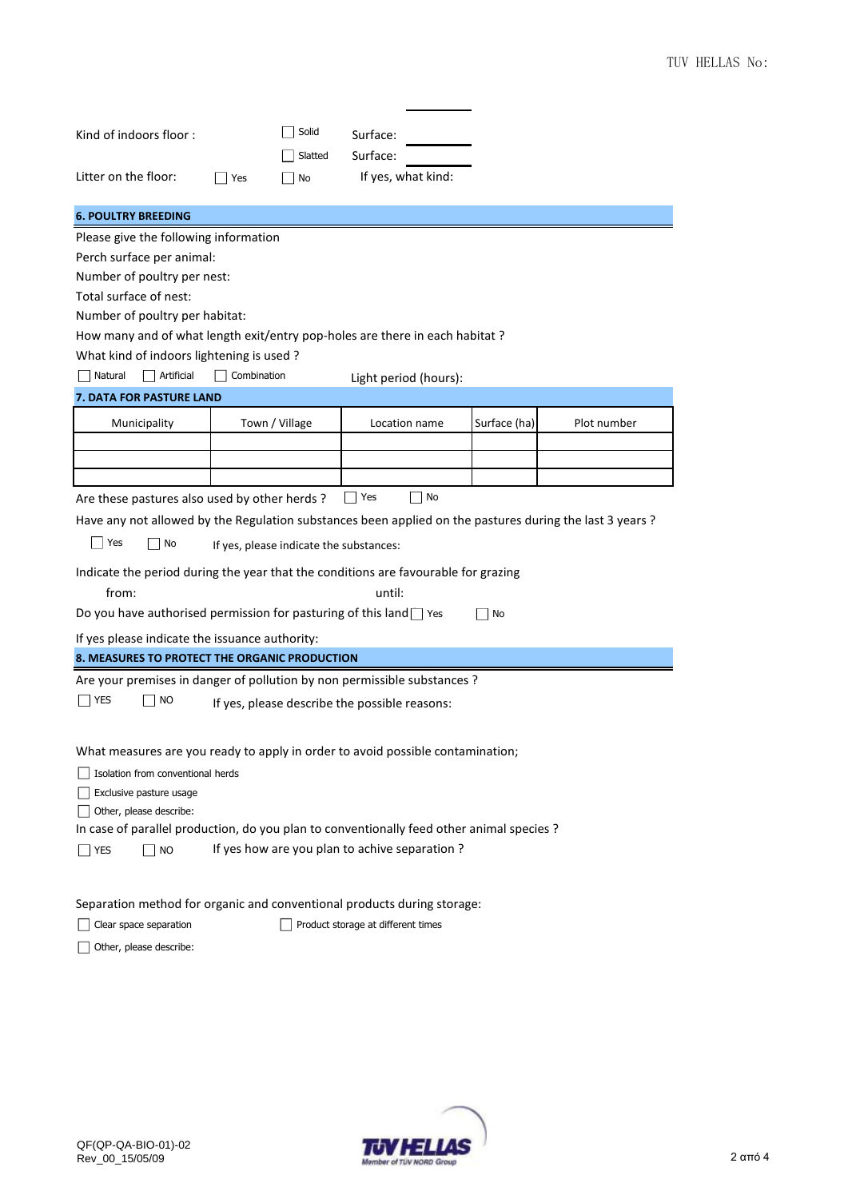| Kind of indoors floor:<br>Litter on the floor:                                                                       |                                         | Solid<br>Slatted | Surface:<br>Surface:<br>If yes, what kind: |              |             |  |
|----------------------------------------------------------------------------------------------------------------------|-----------------------------------------|------------------|--------------------------------------------|--------------|-------------|--|
|                                                                                                                      | Yes                                     | No               |                                            |              |             |  |
| <b>6. POULTRY BREEDING</b>                                                                                           |                                         |                  |                                            |              |             |  |
| Please give the following information                                                                                |                                         |                  |                                            |              |             |  |
| Perch surface per animal:                                                                                            |                                         |                  |                                            |              |             |  |
| Number of poultry per nest:                                                                                          |                                         |                  |                                            |              |             |  |
| Total surface of nest:                                                                                               |                                         |                  |                                            |              |             |  |
| Number of poultry per habitat:                                                                                       |                                         |                  |                                            |              |             |  |
| How many and of what length exit/entry pop-holes are there in each habitat?                                          |                                         |                  |                                            |              |             |  |
| What kind of indoors lightening is used?                                                                             |                                         |                  |                                            |              |             |  |
| Artificial<br>Natural                                                                                                | Combination                             |                  | Light period (hours):                      |              |             |  |
| 7. DATA FOR PASTURE LAND                                                                                             |                                         |                  |                                            |              |             |  |
| Municipality                                                                                                         | Town / Village                          |                  | Location name                              | Surface (ha) | Plot number |  |
|                                                                                                                      |                                         |                  |                                            |              |             |  |
|                                                                                                                      |                                         |                  |                                            |              |             |  |
|                                                                                                                      |                                         |                  |                                            |              |             |  |
| Are these pastures also used by other herds?                                                                         |                                         |                  | No<br>  Yes                                |              |             |  |
| Have any not allowed by the Regulation substances been applied on the pastures during the last 3 years?              |                                         |                  |                                            |              |             |  |
| Yes<br>$\mathbf{I}$<br>No                                                                                            | If yes, please indicate the substances: |                  |                                            |              |             |  |
| Indicate the period during the year that the conditions are favourable for grazing                                   |                                         |                  |                                            |              |             |  |
| from:                                                                                                                |                                         |                  | until:                                     |              |             |  |
| Do you have authorised permission for pasturing of this land $\Box$ Yes                                              |                                         |                  |                                            | No           |             |  |
| If yes please indicate the issuance authority:                                                                       |                                         |                  |                                            |              |             |  |
| 8. MEASURES TO PROTECT THE ORGANIC PRODUCTION                                                                        |                                         |                  |                                            |              |             |  |
| Are your premises in danger of pollution by non permissible substances ?                                             |                                         |                  |                                            |              |             |  |
| <b>YES</b><br><b>NO</b><br>If yes, please describe the possible reasons:                                             |                                         |                  |                                            |              |             |  |
|                                                                                                                      |                                         |                  |                                            |              |             |  |
|                                                                                                                      |                                         |                  |                                            |              |             |  |
| What measures are you ready to apply in order to avoid possible contamination;                                       |                                         |                  |                                            |              |             |  |
| Isolation from conventional herds                                                                                    |                                         |                  |                                            |              |             |  |
| Exclusive pasture usage                                                                                              |                                         |                  |                                            |              |             |  |
| Other, please describe:<br>In case of parallel production, do you plan to conventionally feed other animal species ? |                                         |                  |                                            |              |             |  |
|                                                                                                                      |                                         |                  |                                            |              |             |  |
| If yes how are you plan to achive separation?<br><b>YES</b><br><b>NO</b>                                             |                                         |                  |                                            |              |             |  |
|                                                                                                                      |                                         |                  |                                            |              |             |  |
| Separation method for organic and conventional products during storage:                                              |                                         |                  |                                            |              |             |  |
| Product storage at different times<br>Clear space separation                                                         |                                         |                  |                                            |              |             |  |
|                                                                                                                      |                                         |                  |                                            |              |             |  |



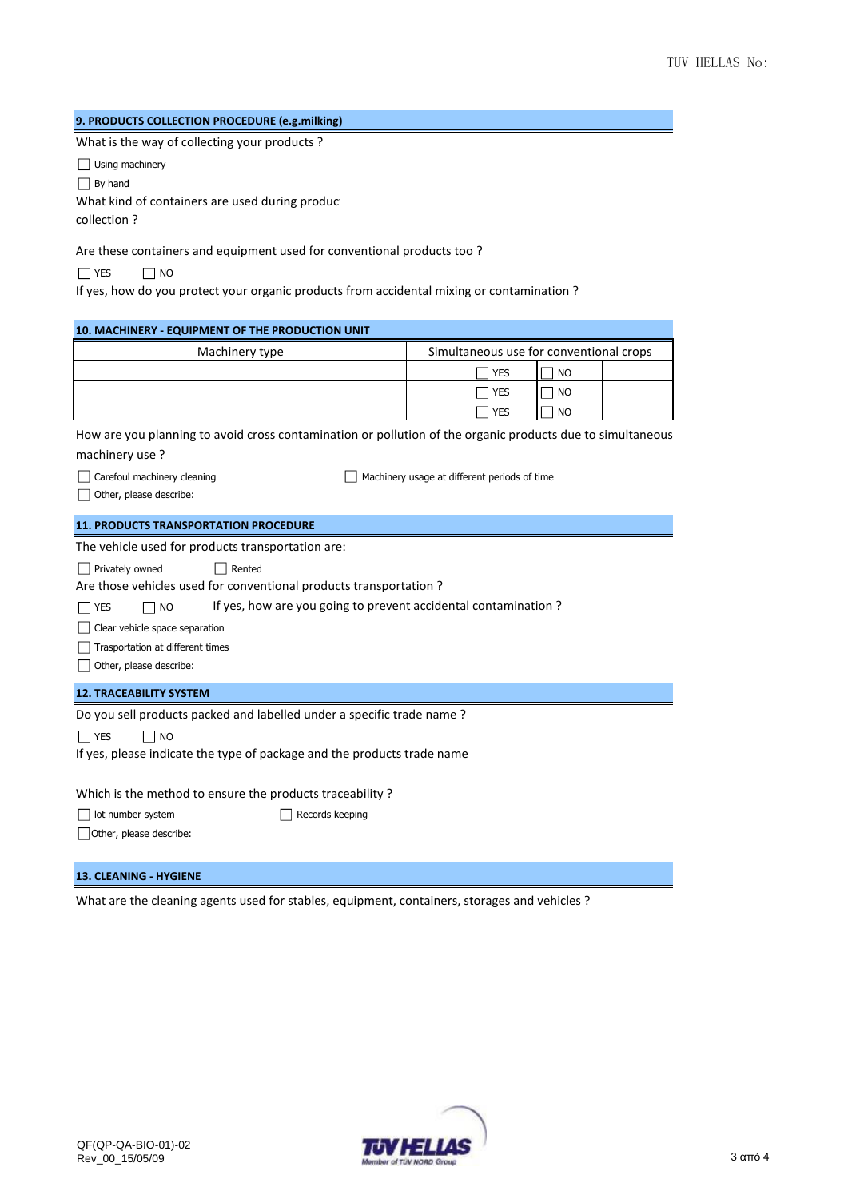## **9. PRODUCTS COLLECTION PROCEDURE (e.g.milking)**

What is the way of collecting your products ?

Using machinery

By hand

What kind of containers are used during product

collection ?

Are these containers and equipment used for conventional products too ?

NO YES NO

If yes, how do you protect your organic products from accidental mixing or contamination ?

| 10. MACHINERY - EQUIPMENT OF THE PRODUCTION UNIT                                                                             |                                              |                                         |  |  |  |
|------------------------------------------------------------------------------------------------------------------------------|----------------------------------------------|-----------------------------------------|--|--|--|
| Machinery type                                                                                                               |                                              | Simultaneous use for conventional crops |  |  |  |
|                                                                                                                              | <b>YES</b>                                   | <b>NO</b>                               |  |  |  |
|                                                                                                                              | <b>YES</b>                                   | <b>NO</b>                               |  |  |  |
|                                                                                                                              | <b>YES</b>                                   | <b>NO</b>                               |  |  |  |
| How are you planning to avoid cross contamination or pollution of the organic products due to simultaneous<br>machinery use? |                                              |                                         |  |  |  |
| Carefoul machinery cleaning                                                                                                  | Machinery usage at different periods of time |                                         |  |  |  |
| Other, please describe:                                                                                                      |                                              |                                         |  |  |  |
| <b>11. PRODUCTS TRANSPORTATION PROCEDURE</b>                                                                                 |                                              |                                         |  |  |  |
| The vehicle used for products transportation are:                                                                            |                                              |                                         |  |  |  |
| Privately owned<br>Rented                                                                                                    |                                              |                                         |  |  |  |
| Are those vehicles used for conventional products transportation?                                                            |                                              |                                         |  |  |  |
| If yes, how are you going to prevent accidental contamination?<br><b>NO</b><br><b>YES</b>                                    |                                              |                                         |  |  |  |
| Clear vehicle space separation                                                                                               |                                              |                                         |  |  |  |
| Trasportation at different times                                                                                             |                                              |                                         |  |  |  |
| Other, please describe:                                                                                                      |                                              |                                         |  |  |  |
| <b>12. TRACEABILITY SYSTEM</b>                                                                                               |                                              |                                         |  |  |  |
| Do you sell products packed and labelled under a specific trade name?                                                        |                                              |                                         |  |  |  |
| <b>NO</b><br><b>YES</b>                                                                                                      |                                              |                                         |  |  |  |
| If yes, please indicate the type of package and the products trade name                                                      |                                              |                                         |  |  |  |
|                                                                                                                              |                                              |                                         |  |  |  |
| Which is the method to ensure the products traceability?                                                                     |                                              |                                         |  |  |  |
| lot number system<br>Records keeping                                                                                         |                                              |                                         |  |  |  |
| Other, please describe:                                                                                                      |                                              |                                         |  |  |  |
|                                                                                                                              |                                              |                                         |  |  |  |
| <b>13. CLEANING - HYGIENE</b>                                                                                                |                                              |                                         |  |  |  |

What are the cleaning agents used for stables, equipment, containers, storages and vehicles ?